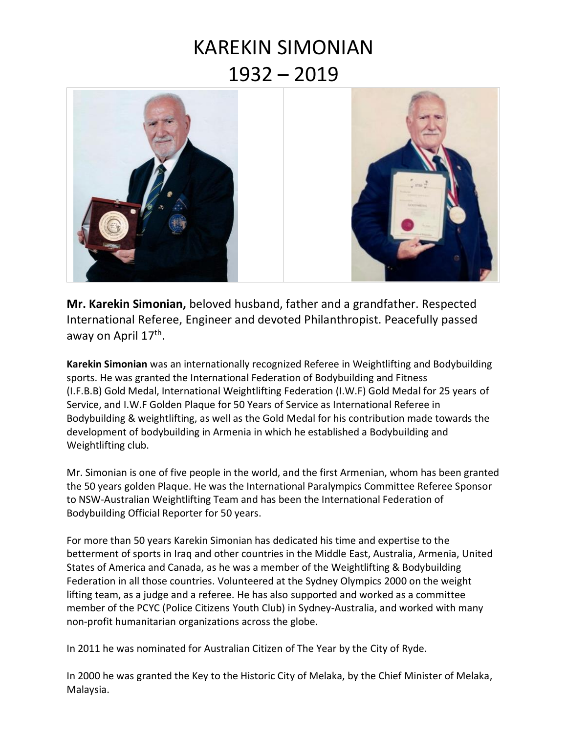## KAREKIN SIMONIAN 1932 – 2019



**Mr. Karekin Simonian,** beloved husband, father and a grandfather. Respected International Referee, Engineer and devoted Philanthropist. Peacefully passed away on April 17<sup>th</sup>.

**Karekin Simonian** was an internationally recognized Referee in Weightlifting and Bodybuilding sports. He was granted the International Federation of Bodybuilding and Fitness (I.F.B.B) Gold Medal, International Weightlifting Federation (I.W.F) Gold Medal for 25 years of Service, and I.W.F Golden Plaque for 50 Years of Service as International Referee in Bodybuilding & weightlifting, as well as the Gold Medal for his contribution made towards the development of bodybuilding in Armenia in which he established a Bodybuilding and Weightlifting club.

Mr. Simonian is one of five people in the world, and the first Armenian, whom has been granted the 50 years golden Plaque. He was the International Paralympics Committee Referee Sponsor to NSW-Australian Weightlifting Team and has been the International Federation of Bodybuilding Official Reporter for 50 years.

For more than 50 years Karekin Simonian has dedicated his time and expertise to the betterment of sports in Iraq and other countries in the Middle East, Australia, Armenia, United States of America and Canada, as he was a member of the Weightlifting & Bodybuilding Federation in all those countries. Volunteered at the Sydney Olympics 2000 on the weight lifting team, as a judge and a referee. He has also supported and worked as a committee member of the PCYC (Police Citizens Youth Club) in Sydney-Australia, and worked with many non-profit humanitarian organizations across the globe.

In 2011 he was nominated for Australian Citizen of The Year by the City of Ryde.

In 2000 he was granted the Key to the Historic City of Melaka, by the Chief Minister of Melaka, Malaysia.